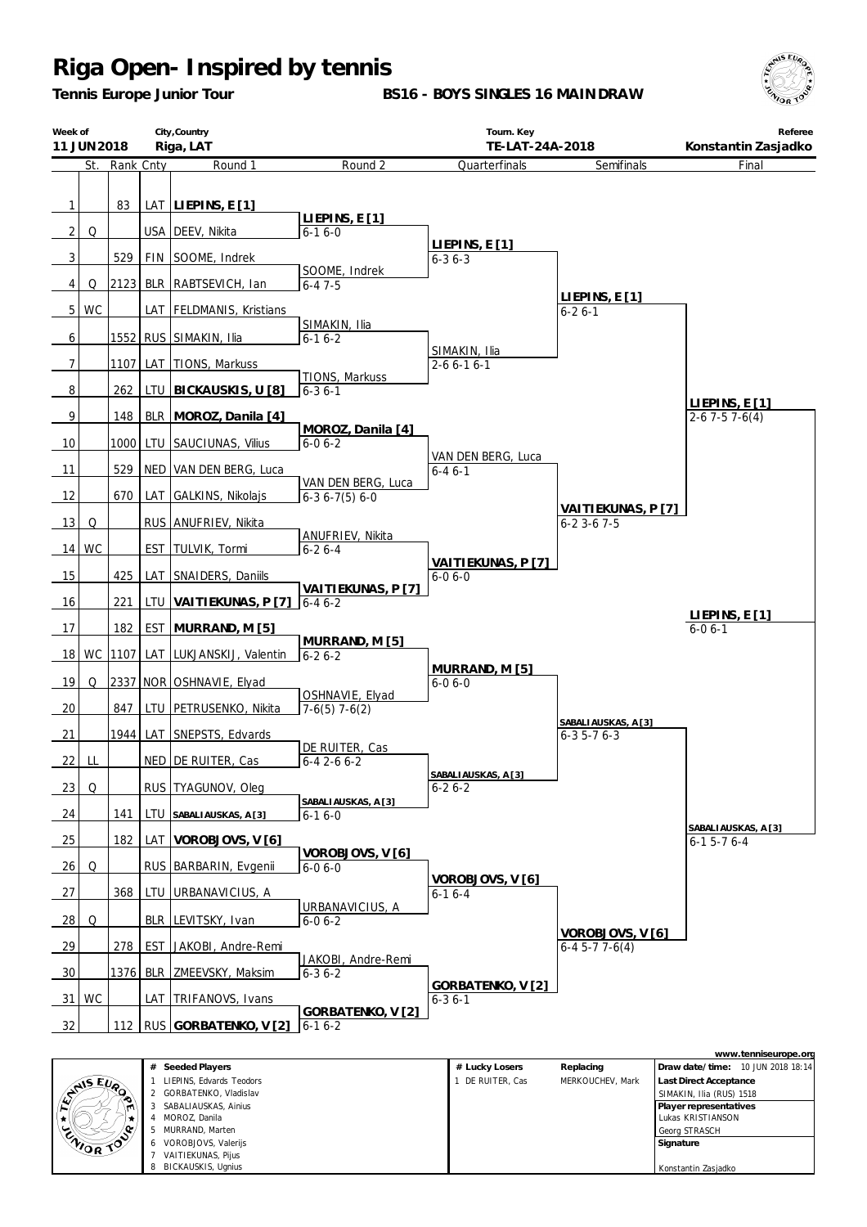*Tennis Europe Junior Tour*

**BS16 - BOYS SINGLES 16 MAINDRAW**



|                           | City, Country<br>Week of<br>Riga, LAT<br>11 JUN 2018 |               |       |                                                                | Tourn. Key<br>TE-LAT-24A-2018                  |                                      | Referee<br>Konstantin Zasjadko           |                                       |
|---------------------------|------------------------------------------------------|---------------|-------|----------------------------------------------------------------|------------------------------------------------|--------------------------------------|------------------------------------------|---------------------------------------|
|                           |                                                      | St. Rank Cnty |       | Round 1                                                        | Round 2                                        | Quarterfinals                        | Semifinals                               | Final                                 |
| 1<br>2 <br>$\overline{3}$ | Q                                                    | 83<br>529     |       | LAT LIEPINS, $E[1]$<br>USA   DEEV, Nikita<br>FIN SOOME, Indrek | LIEPINS, E[1]<br>$6 - 16 - 0$<br>SOOME, Indrek | LIEPINS, E[1]<br>$6 - 36 - 3$        |                                          |                                       |
| 4                         | Q                                                    | 2123          |       | BLR   RABTSEVICH, Ian                                          | $6 - 47 - 5$                                   |                                      |                                          |                                       |
|                           | 5 WC                                                 |               |       | LAT FELDMANIS, Kristians                                       | SIMAKIN, Ilia                                  |                                      | LIEPINS, E[1]<br>$6 - 26 - 1$            |                                       |
| 6                         |                                                      |               |       | 1552 RUS SIMAKIN, Ilia                                         | $6-16-2$                                       |                                      |                                          |                                       |
| $\overline{7}$            |                                                      | 1107          |       | LAT TIONS, Markuss                                             | TIONS, Markuss                                 | SIMAKIN, Ilia<br>$2 - 6 6 - 1 6 - 1$ |                                          |                                       |
| 8                         |                                                      | 262           |       | LTU BICKAUSKIS, U [8]                                          | $6 - 36 - 1$                                   |                                      |                                          | LIEPINS, E[1]                         |
| 9                         |                                                      | 148           |       | BLR MOROZ, Danila [4]                                          |                                                |                                      |                                          | $2-6$ 7 $-5$ 7 $-6(4)$                |
| 10                        |                                                      | 1000          | LTU   | SAUCIUNAS, Vilius                                              | MOROZ, Danila [4]<br>$6 - 06 - 2$              | VAN DEN BERG, Luca                   |                                          |                                       |
| 11                        |                                                      | 529           | NED   | VAN DEN BERG, Luca                                             |                                                | $6 - 46 - 1$                         |                                          |                                       |
| 12                        |                                                      | 670           | LAT   | GALKINS, Nikolajs                                              | VAN DEN BERG, Luca<br>$6-36-7(5)6-0$           |                                      |                                          |                                       |
| 13                        | Q                                                    |               |       | RUS ANUFRIEV, Nikita                                           |                                                |                                      | VAITIEKUNAS, P[7]<br>$6 - 23 - 67 - 5$   |                                       |
|                           | 14 WC                                                |               | EST   | TULVIK, Tormi                                                  | ANUFRIEV, Nikita<br>$6 - 26 - 4$               | VAITIEKUNAS, P [7]                   |                                          |                                       |
| 15                        |                                                      | 425           | LAT   | SNAIDERS, Daniils                                              |                                                | $6 - 0 6 - 0$                        |                                          |                                       |
| 16                        |                                                      | 221           | LTU   | VAITIEKUNAS, P [7]                                             | VAITIEKUNAS, P [7]<br>$6 - 46 - 2$             |                                      |                                          |                                       |
| 17                        |                                                      | 182           |       | EST MURRAND, M [5]                                             |                                                |                                      |                                          | <u>LIEPINS, E [1]</u><br>$6 - 06 - 1$ |
| 18 <sup>1</sup>           |                                                      | WC 1107       |       | LAT LUKJANSKIJ, Valentin                                       | MURRAND, M [5]<br>$6 - 26 - 2$                 |                                      |                                          |                                       |
| 19                        | Q                                                    |               |       | 2337 NOR OSHNAVIE, Elyad                                       |                                                | MURRAND, M [5]<br>$6 - 06 - 0$       |                                          |                                       |
| 20                        |                                                      | 847           | LTU I | PETRUSENKO, Nikita                                             | OSHNAVIE, Elyad<br>$7-6(5)$ 7 $-6(2)$          |                                      |                                          |                                       |
| 21                        |                                                      |               |       | 1944 LAT SNEPSTS, Edvards                                      |                                                |                                      | SABALIAUSKAS, A [3]<br>$6 - 35 - 76 - 3$ |                                       |
|                           | 22 LL                                                |               |       | NED DE RUITER, Cas                                             | DE RUITER, Cas<br>$6 - 42 - 66 - 2$            |                                      |                                          |                                       |
| 23                        | Q                                                    |               |       | RUS TYAGUNOV, Oleg                                             |                                                | SABALIAUSKAS, A [3]<br>$6 - 26 - 2$  |                                          |                                       |
| 24                        |                                                      | 141           | LTU   | SABALIAUSKAS, A [3]                                            | SABALIAUSKAS, A [3]<br>$6-16-0$                |                                      |                                          |                                       |
| 25                        |                                                      | 182           | LAT I | VOROBJOVS, V [6]                                               |                                                |                                      |                                          | SABALIAUSKAS, A [3]<br>$6-15-76-4$    |
| 26                        | Q                                                    |               |       | RUS BARBARIN, Evgenii                                          | VOROBJOVS, V [6]<br>$6 - 06 - 0$               |                                      |                                          |                                       |
| 27                        |                                                      | 368           | LTU I | URBANAVICIUS, A                                                |                                                | VOROBJOVS, V[6]<br>$6 - 16 - 4$      |                                          |                                       |
| 28                        | Q                                                    |               | BLR   | LEVITSKY, Ivan                                                 | URBANAVICIUS, A<br>$6 - 06 - 2$                |                                      |                                          |                                       |
| 29                        |                                                      | 278           | EST   | JAKOBI, Andre-Remi                                             |                                                |                                      | VOROBJOVS, V [6]<br>$6-4$ 5-7 7-6(4)     |                                       |
| 30                        |                                                      | 1376 BLR      |       | ZMEEVSKY, Maksim                                               | JAKOBI, Andre-Remi<br>$6 - 36 - 2$             |                                      |                                          |                                       |
| 31 I                      | WC                                                   |               | LAT   | TRIFANOVS, Ivans                                               |                                                | GORBATENKO, V [2]<br>$6 - 36 - 1$    |                                          |                                       |
| 32                        |                                                      |               |       | 112   RUS GORBATENKO, V [2]                                    | GORBATENKO, V [2]<br>$6 - 16 - 2$              |                                      |                                          |                                       |
|                           |                                                      |               |       |                                                                |                                                |                                      |                                          | www.tenniseurope.org                  |

|                    |              |                          |                |                  | www.commoduopc.org                |
|--------------------|--------------|--------------------------|----------------|------------------|-----------------------------------|
|                    | #            | Seeded Players           | # Lucky Losers | Replacing        | Draw date/time: 10 JUN 2018 18:14 |
|                    |              | LIEPINS, Edvards Teodors | DE RUITER. Cas | MERKOUCHEV, Mark | <b>Last Direct Acceptance</b>     |
| <b>ANSEUP</b><br>ಾ |              | GORBATENKO, Vladislav    |                |                  | SIMAKIN, Ilia (RUS) 1518          |
|                    |              | SABALIAUSKAS, Ainius     |                |                  | Player representatives            |
|                    |              | MOROZ, Danila            |                |                  | ∎Lukas KRISTIANSON                |
|                    | $\mathbf{b}$ | MURRAND, Marten          |                |                  | l Geora STRASCH                   |
| ENIOR TOP          | 6            | VOROBJOVS, Valerijs      |                |                  | Signature                         |
|                    |              | VAITIEKUNAS, Pijus       |                |                  |                                   |
|                    | 8            | BICKAUSKIS, Ugnius       |                |                  | Konstantin Zasjadko               |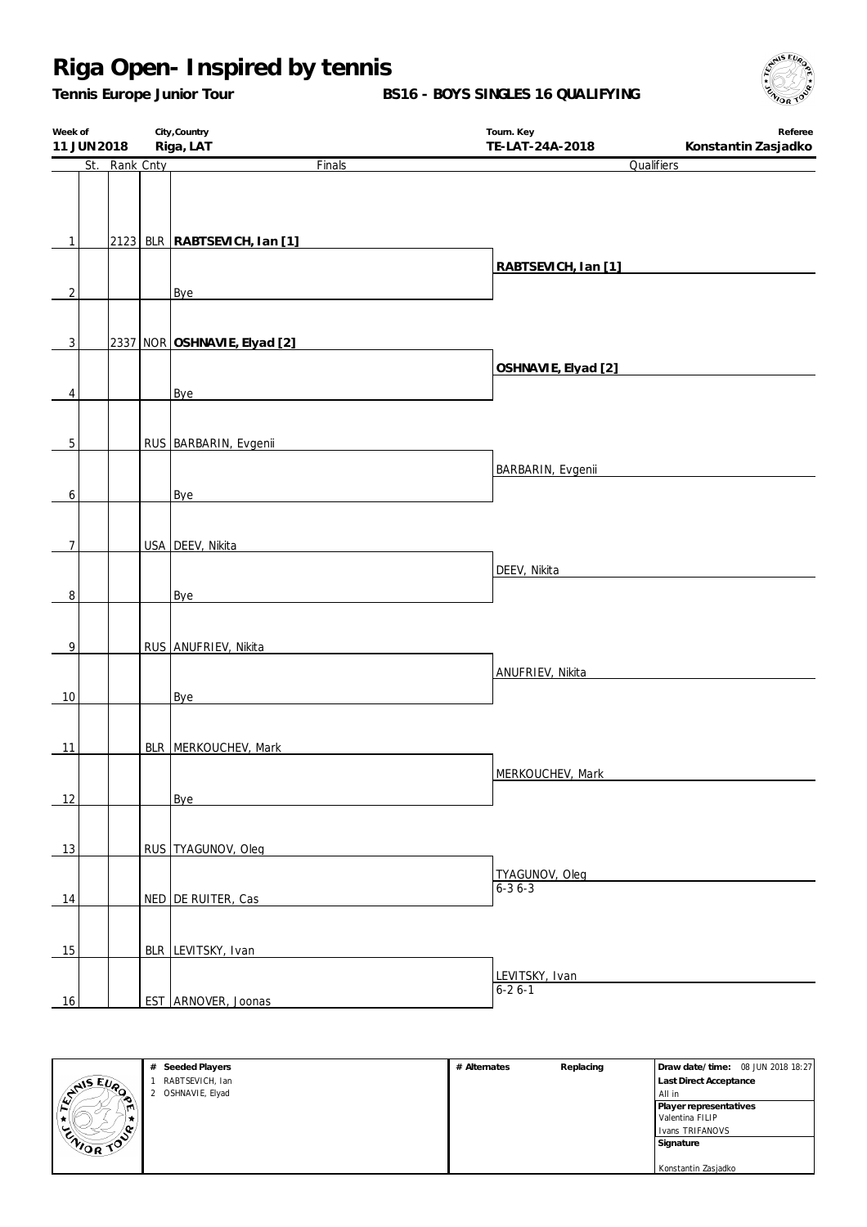*Tennis Europe Junior Tour*

**BS16 - BOYS SINGLES 16 QUALIFYING**

| Week of<br>11 JUN 2018 |               | City, Country<br>Riga, LAT   | Tourn. Key<br>TE-LAT-24A-2018 | Referee<br>Konstantin Zasjadko |
|------------------------|---------------|------------------------------|-------------------------------|--------------------------------|
|                        | St. Rank Cnty | Finals                       | Qualifiers                    |                                |
|                        |               |                              |                               |                                |
|                        |               |                              |                               |                                |
| $\mathbf{1}$           |               | 2123 BLR RABTSEVICH, Ian [1] |                               |                                |
|                        |               |                              | RABTSEVICH, Ian [1]           |                                |
| $\overline{2}$         |               |                              |                               |                                |
|                        |               | <b>Bye</b>                   |                               |                                |
|                        |               |                              |                               |                                |
| 3                      |               | 2337 NOR OSHNAVIE, Elyad [2] |                               |                                |
|                        |               |                              | OSHNAVIE, Elyad [2]           |                                |
| 4                      |               | Bye                          |                               |                                |
|                        |               |                              |                               |                                |
| 5                      |               | RUS BARBARIN, Evgenii        |                               |                                |
|                        |               |                              | <b>BARBARIN, Evgenii</b>      |                                |
| 6                      |               | Bye                          |                               |                                |
|                        |               |                              |                               |                                |
|                        |               |                              |                               |                                |
| $\overline{7}$         |               | USA DEEV, Nikita             |                               |                                |
|                        |               |                              | DEEV, Nikita                  |                                |
| $\, 8$                 |               | Bye                          |                               |                                |
|                        |               |                              |                               |                                |
| $\overline{9}$         |               | RUS ANUFRIEV, Nikita         |                               |                                |
|                        |               |                              | ANUFRIEV, Nikita              |                                |
| 10                     |               | Bye                          |                               |                                |
|                        |               |                              |                               |                                |
|                        |               |                              |                               |                                |
| 11                     |               | BLR MERKOUCHEV, Mark         |                               |                                |
|                        |               |                              | MERKOUCHEV, Mark              |                                |
| 12                     |               | Bye                          |                               |                                |
|                        |               |                              |                               |                                |
| 13                     |               | RUS TYAGUNOV, Oleg           |                               |                                |
|                        |               |                              | TYAGUNOV, Oleg                |                                |
| 14                     |               | NED DE RUITER, Cas           | $6 - 36 - 3$                  |                                |
|                        |               |                              |                               |                                |
|                        |               |                              |                               |                                |
| 15                     |               | BLR LEVITSKY, Ivan           |                               |                                |
|                        |               |                              | LEVITSKY, Ivan                |                                |
| 16                     |               | EST ARNOVER, Joonas          | $6 - 26 - 1$                  |                                |



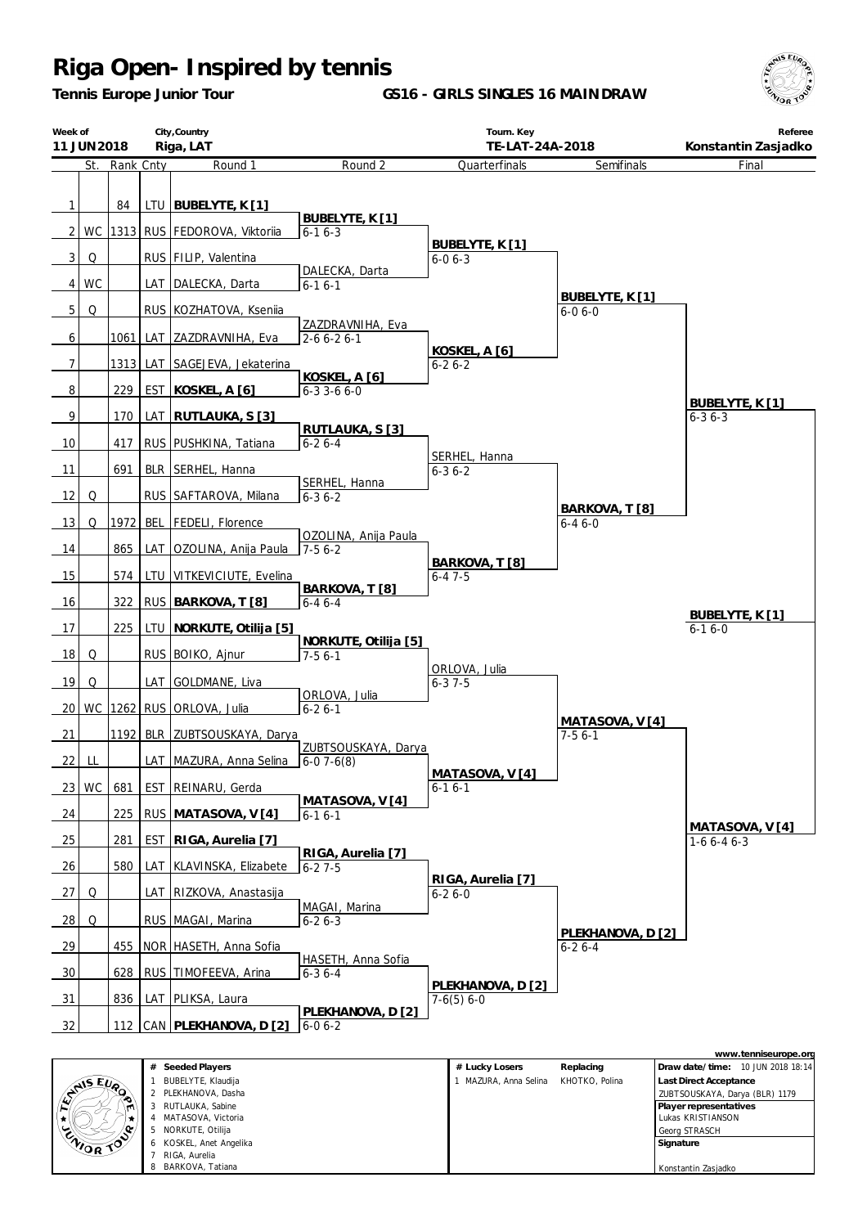*Tennis Europe Junior Tour*

**GS16 - GIRLS SINGLES 16 MAINDRAW**



|                   | City, Country<br>Week of<br>Riga, LAT<br>11 JUN 2018 |           |  |                                                                |                                    | Tourn. Key<br>TE-LAT-24A-2018     |                                   | Referee<br>Konstantin Zasjadko  |
|-------------------|------------------------------------------------------|-----------|--|----------------------------------------------------------------|------------------------------------|-----------------------------------|-----------------------------------|---------------------------------|
|                   | St.                                                  | Rank Cnty |  | Round 1                                                        | Round 2                            | Quarterfinals                     | Semifinals                        | Final                           |
| $\mathbf{1}$<br>2 |                                                      | 84        |  | LTU   BUBELYTE, K [1]<br>WC   1313   RUS   FEDOROVA, Viktoriia | BUBELYTE, K [1]<br>$6 - 16 - 3$    |                                   |                                   |                                 |
| 3                 | Q                                                    |           |  | RUS FILIP, Valentina                                           |                                    | BUBELYTE, K [1]<br>$6 - 06 - 3$   |                                   |                                 |
|                   |                                                      |           |  |                                                                | DALECKA, Darta                     |                                   |                                   |                                 |
| 4                 | WC                                                   |           |  | LAT   DALECKA, Darta                                           | $6 - 16 - 1$                       |                                   | BUBELYTE, K [1]                   |                                 |
| 5                 | Q                                                    |           |  | RUS KOZHATOVA, Ksenija                                         | ZAZDRAVNIHA, Eva                   |                                   | $6 - 06 - 0$                      |                                 |
| 6                 |                                                      | 1061      |  | LAT ZAZDRAVNIHA, Eva                                           | $2 - 6 6 - 2 6 - 1$                |                                   |                                   |                                 |
| 7                 |                                                      |           |  | 1313 LAT SAGEJEVA, Jekaterina                                  |                                    | KOSKEL, A [6]<br>$6 - 26 - 2$     |                                   |                                 |
| 8                 |                                                      | 229       |  | EST KOSKEL, A [6]                                              | KOSKEL, A [6]<br>$6 - 33 - 66 - 0$ |                                   |                                   |                                 |
| 9                 |                                                      | 170       |  | LAT RUTLAUKA, S [3]                                            |                                    |                                   |                                   | BUBELYTE, K [1]<br>$6 - 36 - 3$ |
| 10                |                                                      | 417       |  | RUS   PUSHKINA, Tatiana                                        | RUTLAUKA, S [3]<br>$6 - 26 - 4$    |                                   |                                   |                                 |
| 11                |                                                      | 691       |  | BLR SERHEL, Hanna                                              |                                    | SERHEL, Hanna<br>$6 - 36 - 2$     |                                   |                                 |
| 12                | Q                                                    |           |  | RUS SAFTAROVA, Milana                                          | SERHEL, Hanna<br>$6 - 36 - 2$      |                                   |                                   |                                 |
| 13                | Q                                                    | 1972      |  | BEL   FEDELI, Florence                                         |                                    |                                   | BARKOVA, T [8]<br>$6 - 46 - 0$    |                                 |
| 14                |                                                      | 865       |  | LAT OZOLINA, Anija Paula                                       | OZOLINA, Anija Paula<br>$7-56-2$   |                                   |                                   |                                 |
| 15                |                                                      | 574       |  | LTU VITKEVICIUTE, Evelina                                      |                                    | BARKOVA, T [8]<br>$6 - 47 - 5$    |                                   |                                 |
|                   |                                                      | 322       |  |                                                                | BARKOVA, T [8]                     |                                   |                                   |                                 |
| 16                |                                                      |           |  | RUS BARKOVA, T [8]                                             | $6 - 46 - 4$                       |                                   |                                   | BUBELYTE, K [1]                 |
| 17                |                                                      | 225       |  | LTU NORKUTE, Otilija [5]                                       | NORKUTE, Otilija [5]               |                                   |                                   | $6 - 16 - 0$                    |
| 18                | Q                                                    |           |  | RUS BOIKO, Ajnur                                               | $7-56-1$                           | ORLOVA, Julia                     |                                   |                                 |
| 19                | Q                                                    |           |  | LAT GOLDMANE, Liva                                             | ORLOVA, Julia                      | $6 - 37 - 5$                      |                                   |                                 |
| 20                |                                                      |           |  | WC 1262 RUS ORLOVA, Julia                                      | $6 - 26 - 1$                       |                                   | MATASOVA, V[4]                    |                                 |
| 21                |                                                      | 1192      |  | BLR ZUBTSOUSKAYA, Darya                                        |                                    |                                   | $7-56-1$                          |                                 |
| 22                | LL                                                   |           |  | LAT MAZURA, Anna Selina                                        | ZUBTSOUSKAYA, Darya<br>$6-07-6(8)$ |                                   |                                   |                                 |
| 23                | WC                                                   | 681       |  | EST REINARU, Gerda                                             |                                    | MATASOVA, V [4]<br>$6 - 16 - 1$   |                                   |                                 |
| 24                |                                                      | 225       |  | RUS MATASOVA, V [4]                                            | MATASOVA, V [4]<br>$6-16-1$        |                                   |                                   |                                 |
| 25                |                                                      | 281       |  | EST RIGA, Aurelia [7]                                          |                                    |                                   |                                   | MATASOVA, V[4]<br>$1-66-46-3$   |
| 26                |                                                      | 580       |  | LAT KLAVINSKA, Elizabete                                       | RIGA, Aurelia [7]<br>$6 - 27 - 5$  |                                   |                                   |                                 |
| 27                | Q                                                    |           |  | LAT RIZKOVA, Anastasija                                        |                                    | RIGA, Aurelia [7]<br>$6 - 26 - 0$ |                                   |                                 |
| 28                | Q                                                    |           |  | RUS MAGAI, Marina                                              | MAGAI, Marina<br>$6 - 26 - 3$      |                                   |                                   |                                 |
| 29                |                                                      |           |  | 455   NOR   HASETH, Anna Sofia                                 |                                    |                                   | PLEKHANOVA, D [2]<br>$6 - 26 - 4$ |                                 |
| 30                |                                                      | 628       |  | RUS TIMOFEEVA, Arina                                           | HASETH, Anna Sofia<br>$6 - 36 - 4$ |                                   |                                   |                                 |
| 31                |                                                      | 836       |  | LAT PLIKSA, Laura                                              |                                    | PLEKHANOVA, D [2]<br>$7-6(5)$ 6-0 |                                   |                                 |
| 32                |                                                      | 112       |  | CAN   PLEKHANOVA, D [2]                                        | PLEKHANOVA, D [2]<br>$6 - 06 - 2$  |                                   |                                   |                                 |
|                   |                                                      |           |  |                                                                |                                    |                                   |                                   | www.tenniseurope.org            |

|                | Seeded Players<br>#     | Replacing<br># Lucky Losers           | Draw date/time: 10 JUN 2018 18:14 |
|----------------|-------------------------|---------------------------------------|-----------------------------------|
|                | BUBELYTE, Klaudija      | MAZURA, Anna Selina<br>KHOTKO, Polina | <b>Last Direct Acceptance</b>     |
| LYNIS EUR<br>∼ | 2 PLEKHANOVA, Dasha     |                                       | ZUBTSOUSKAYA, Darya (BLR) 1179    |
| m              | RUTLAUKA, Sabine        |                                       | Player representatives            |
|                | MATASOVA, Victoria      |                                       | Lukas KRISTIANSON                 |
|                | NORKUTE, Otilija<br>5   |                                       | Georg STRASCH                     |
| ENIOR TO       | 6 KOSKEL, Anet Angelika |                                       | Signature                         |
|                | RIGA, Aurelia           |                                       |                                   |
|                | BARKOVA, Tatiana<br>8   |                                       | Konstantin Zasjadko               |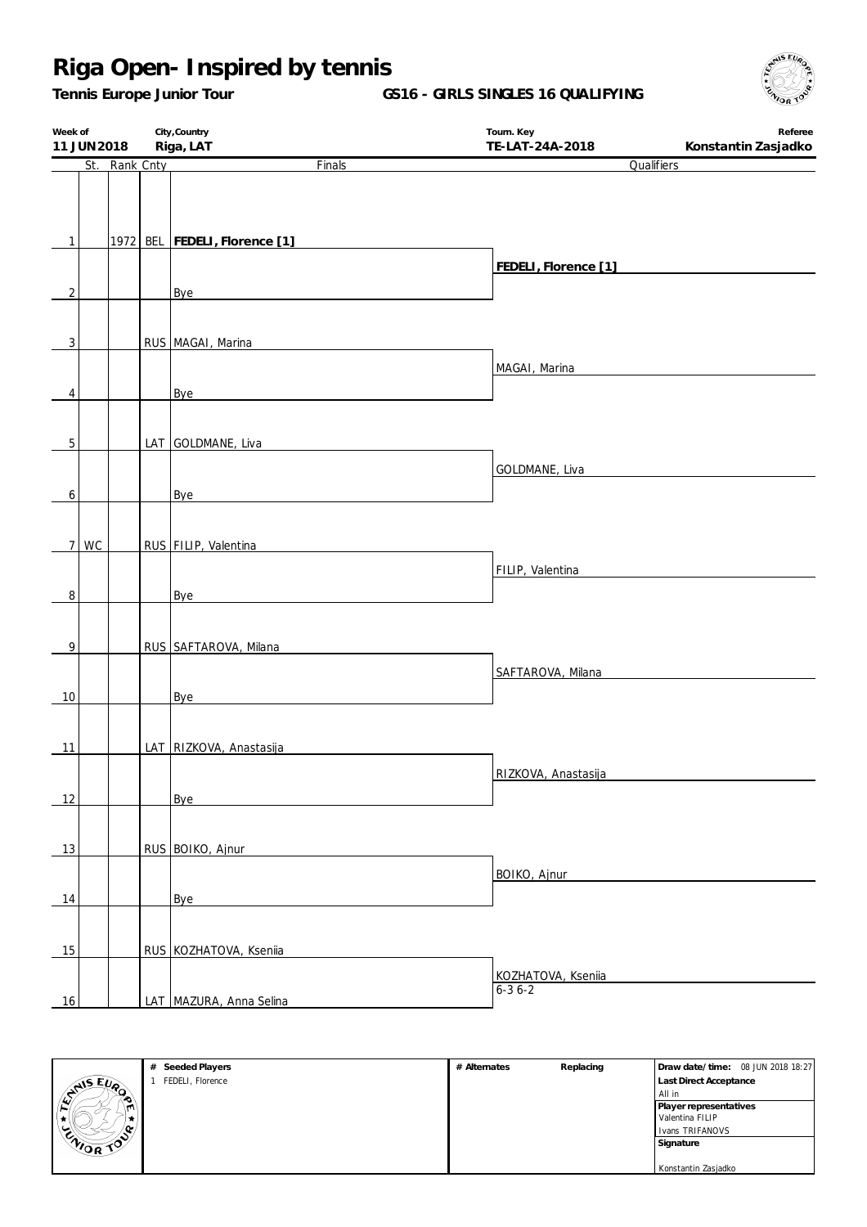*Tennis Europe Junior Tour*

**GS16 - GIRLS SINGLES 16 QUALIFYING**

| Riga, LAT<br>St. Rank Cnty<br>Finals<br>Qualifiers<br>1972 BEL FEDELI, Florence [1]<br>$\mathbf{1}$<br>FEDELI, Florence [1]<br>$\overline{c}$<br>Bye<br>$\overline{3}$<br>RUS MAGAI, Marina<br>MAGAI, Marina<br>Bye<br>4<br>$\overline{5}$<br>LAT GOLDMANE, Liva<br>GOLDMANE, Liva<br>6<br>Bye<br>WC<br>RUS FILIP, Valentina<br>$\overline{7}$<br>FILIP, Valentina<br>$\overline{8}$<br>Bye<br>RUS SAFTAROVA, Milana<br>$\overline{9}$<br>SAFTAROVA, Milana<br>10<br>Bye<br>LAT RIZKOVA, Anastasija<br>11<br>RIZKOVA, Anastasija<br>12<br>Bye<br>RUS BOIKO, Ajnur<br>13<br>BOIKO, Ajnur<br>14<br>Bye<br>15<br>RUS KOZHATOVA, Ksenija<br>KOZHATOVA, Kseniia<br>$6 - 36 - 2$<br>LAT MAZURA, Anna Selina<br>16 | Week of<br>11 JUN 2018 |  | City, Country | Tourn. Key<br>Referee<br>TE-LAT-24A-2018<br>Konstantin Zasjadko |  |  |  |
|-------------------------------------------------------------------------------------------------------------------------------------------------------------------------------------------------------------------------------------------------------------------------------------------------------------------------------------------------------------------------------------------------------------------------------------------------------------------------------------------------------------------------------------------------------------------------------------------------------------------------------------------------------------------------------------------------------------|------------------------|--|---------------|-----------------------------------------------------------------|--|--|--|
|                                                                                                                                                                                                                                                                                                                                                                                                                                                                                                                                                                                                                                                                                                             |                        |  |               |                                                                 |  |  |  |
|                                                                                                                                                                                                                                                                                                                                                                                                                                                                                                                                                                                                                                                                                                             |                        |  |               |                                                                 |  |  |  |
|                                                                                                                                                                                                                                                                                                                                                                                                                                                                                                                                                                                                                                                                                                             |                        |  |               |                                                                 |  |  |  |
|                                                                                                                                                                                                                                                                                                                                                                                                                                                                                                                                                                                                                                                                                                             |                        |  |               |                                                                 |  |  |  |
|                                                                                                                                                                                                                                                                                                                                                                                                                                                                                                                                                                                                                                                                                                             |                        |  |               |                                                                 |  |  |  |
|                                                                                                                                                                                                                                                                                                                                                                                                                                                                                                                                                                                                                                                                                                             |                        |  |               |                                                                 |  |  |  |
|                                                                                                                                                                                                                                                                                                                                                                                                                                                                                                                                                                                                                                                                                                             |                        |  |               |                                                                 |  |  |  |
|                                                                                                                                                                                                                                                                                                                                                                                                                                                                                                                                                                                                                                                                                                             |                        |  |               |                                                                 |  |  |  |
|                                                                                                                                                                                                                                                                                                                                                                                                                                                                                                                                                                                                                                                                                                             |                        |  |               |                                                                 |  |  |  |
|                                                                                                                                                                                                                                                                                                                                                                                                                                                                                                                                                                                                                                                                                                             |                        |  |               |                                                                 |  |  |  |
|                                                                                                                                                                                                                                                                                                                                                                                                                                                                                                                                                                                                                                                                                                             |                        |  |               |                                                                 |  |  |  |
|                                                                                                                                                                                                                                                                                                                                                                                                                                                                                                                                                                                                                                                                                                             |                        |  |               |                                                                 |  |  |  |
|                                                                                                                                                                                                                                                                                                                                                                                                                                                                                                                                                                                                                                                                                                             |                        |  |               |                                                                 |  |  |  |
|                                                                                                                                                                                                                                                                                                                                                                                                                                                                                                                                                                                                                                                                                                             |                        |  |               |                                                                 |  |  |  |
|                                                                                                                                                                                                                                                                                                                                                                                                                                                                                                                                                                                                                                                                                                             |                        |  |               |                                                                 |  |  |  |
|                                                                                                                                                                                                                                                                                                                                                                                                                                                                                                                                                                                                                                                                                                             |                        |  |               |                                                                 |  |  |  |
|                                                                                                                                                                                                                                                                                                                                                                                                                                                                                                                                                                                                                                                                                                             |                        |  |               |                                                                 |  |  |  |
|                                                                                                                                                                                                                                                                                                                                                                                                                                                                                                                                                                                                                                                                                                             |                        |  |               |                                                                 |  |  |  |
|                                                                                                                                                                                                                                                                                                                                                                                                                                                                                                                                                                                                                                                                                                             |                        |  |               |                                                                 |  |  |  |
|                                                                                                                                                                                                                                                                                                                                                                                                                                                                                                                                                                                                                                                                                                             |                        |  |               |                                                                 |  |  |  |
|                                                                                                                                                                                                                                                                                                                                                                                                                                                                                                                                                                                                                                                                                                             |                        |  |               |                                                                 |  |  |  |
|                                                                                                                                                                                                                                                                                                                                                                                                                                                                                                                                                                                                                                                                                                             |                        |  |               |                                                                 |  |  |  |
|                                                                                                                                                                                                                                                                                                                                                                                                                                                                                                                                                                                                                                                                                                             |                        |  |               |                                                                 |  |  |  |
|                                                                                                                                                                                                                                                                                                                                                                                                                                                                                                                                                                                                                                                                                                             |                        |  |               |                                                                 |  |  |  |
|                                                                                                                                                                                                                                                                                                                                                                                                                                                                                                                                                                                                                                                                                                             |                        |  |               |                                                                 |  |  |  |
|                                                                                                                                                                                                                                                                                                                                                                                                                                                                                                                                                                                                                                                                                                             |                        |  |               |                                                                 |  |  |  |
|                                                                                                                                                                                                                                                                                                                                                                                                                                                                                                                                                                                                                                                                                                             |                        |  |               |                                                                 |  |  |  |
|                                                                                                                                                                                                                                                                                                                                                                                                                                                                                                                                                                                                                                                                                                             |                        |  |               |                                                                 |  |  |  |
|                                                                                                                                                                                                                                                                                                                                                                                                                                                                                                                                                                                                                                                                                                             |                        |  |               |                                                                 |  |  |  |
|                                                                                                                                                                                                                                                                                                                                                                                                                                                                                                                                                                                                                                                                                                             |                        |  |               |                                                                 |  |  |  |
|                                                                                                                                                                                                                                                                                                                                                                                                                                                                                                                                                                                                                                                                                                             |                        |  |               |                                                                 |  |  |  |
|                                                                                                                                                                                                                                                                                                                                                                                                                                                                                                                                                                                                                                                                                                             |                        |  |               |                                                                 |  |  |  |
|                                                                                                                                                                                                                                                                                                                                                                                                                                                                                                                                                                                                                                                                                                             |                        |  |               |                                                                 |  |  |  |
|                                                                                                                                                                                                                                                                                                                                                                                                                                                                                                                                                                                                                                                                                                             |                        |  |               |                                                                 |  |  |  |
|                                                                                                                                                                                                                                                                                                                                                                                                                                                                                                                                                                                                                                                                                                             |                        |  |               |                                                                 |  |  |  |
|                                                                                                                                                                                                                                                                                                                                                                                                                                                                                                                                                                                                                                                                                                             |                        |  |               |                                                                 |  |  |  |
|                                                                                                                                                                                                                                                                                                                                                                                                                                                                                                                                                                                                                                                                                                             |                        |  |               |                                                                 |  |  |  |
|                                                                                                                                                                                                                                                                                                                                                                                                                                                                                                                                                                                                                                                                                                             |                        |  |               |                                                                 |  |  |  |
|                                                                                                                                                                                                                                                                                                                                                                                                                                                                                                                                                                                                                                                                                                             |                        |  |               |                                                                 |  |  |  |
|                                                                                                                                                                                                                                                                                                                                                                                                                                                                                                                                                                                                                                                                                                             |                        |  |               |                                                                 |  |  |  |



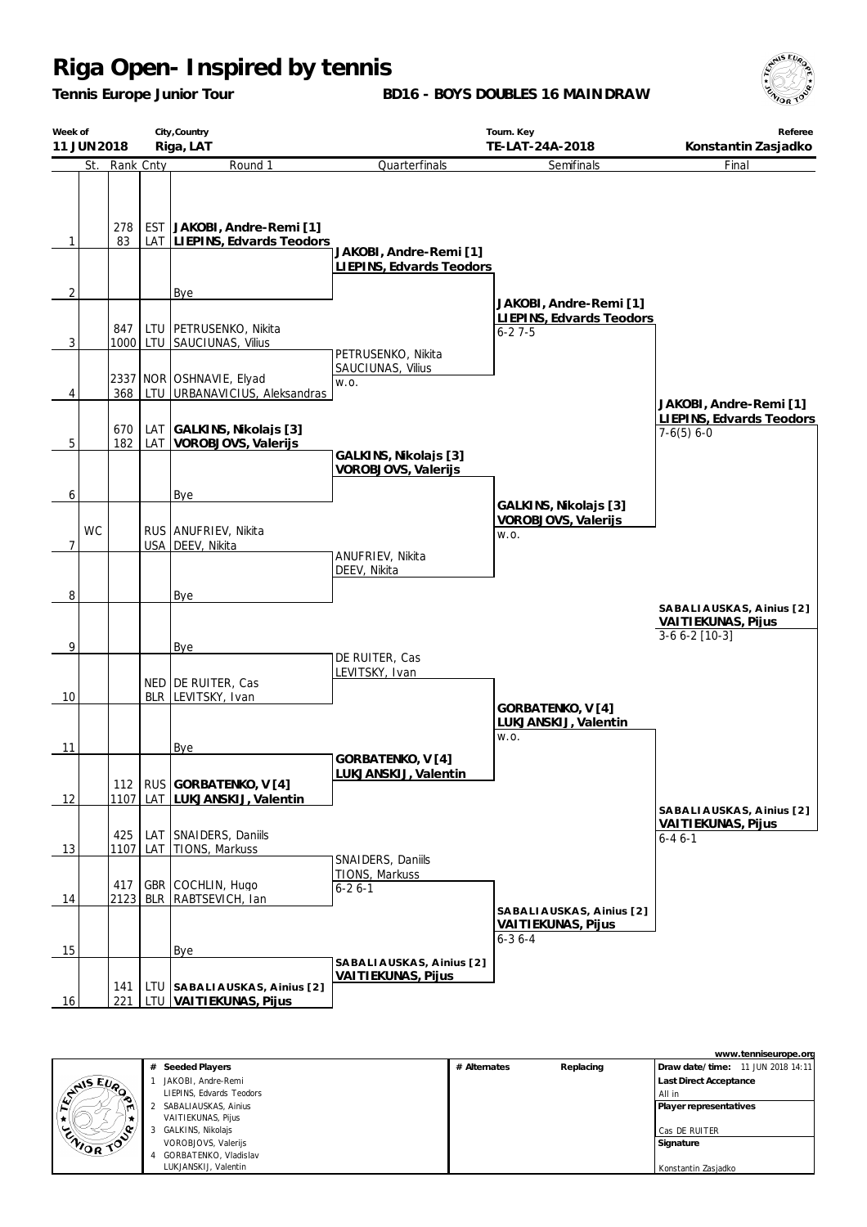*Tennis Europe Junior Tour*

**BD16 - BOYS DOUBLES 16 MAINDRAW**



|                | Week of<br>11 JUN 2018 |             |     | City, Country<br>Riga, LAT                                 |                                                     | Tourn. Key<br>TE-LAT-24A-2018                                  | Referee<br>Konstantin Zasjadko                                    |  |
|----------------|------------------------|-------------|-----|------------------------------------------------------------|-----------------------------------------------------|----------------------------------------------------------------|-------------------------------------------------------------------|--|
|                | St.                    | Rank Cnty   |     | Round 1                                                    | Quarterfinals                                       | Semifinals                                                     | Final                                                             |  |
| $\mathbf{1}$   |                        | 278<br>83   |     | EST JAKOBI, Andre-Remi [1]<br>LAT LIEPINS, Edvards Teodors | JAKOBI, Andre-Remi [1]<br>LIEPINS, Edvards Teodors  |                                                                |                                                                   |  |
| $\overline{2}$ |                        |             |     | Bye                                                        |                                                     | JAKOBI, Andre-Remi [1]                                         |                                                                   |  |
| 3              |                        | 847         |     | LTU   PETRUSENKO, Nikita<br>1000 LTU SAUCIUNAS, Vilius     | PETRUSENKO, Nikita                                  | LIEPINS, Edvards Teodors<br>$6 - 27 - 5$                       |                                                                   |  |
| 4              |                        | 368         |     | 2337 NOR OSHNAVIE, Elyad<br>LTU URBANAVICIUS, Aleksandras  | SAUCIUNAS, Vilius<br>W.O.                           |                                                                | JAKOBI, Andre-Remi [1]                                            |  |
| 5              |                        | 670<br>182  |     | LAT GALKINS, Nikolajs [3]<br>LAT VOROBJOVS, Valerijs       |                                                     |                                                                | LIEPINS, Edvards Teodors<br>$7-6(5) 6-0$                          |  |
|                |                        |             |     |                                                            | GALKINS, Nikolajs [3]<br>VOROBJOVS, Valerijs        |                                                                |                                                                   |  |
| 6              | <b>WC</b>              |             |     | Bye<br>RUS ANUFRIEV, Nikita                                |                                                     | GALKINS, Nikolajs [3]<br>VOROBJOVS, Valerijs<br>W.O.           |                                                                   |  |
| 7              |                        |             |     | USA DEEV, Nikita                                           | ANUFRIEV, Nikita<br>DEEV, Nikita                    |                                                                |                                                                   |  |
| 8              |                        |             |     | Bye                                                        |                                                     |                                                                | SABALIAUSKAS, Ainius [2]<br>VAITIEKUNAS, Pijus<br>$3-66-2$ [10-3] |  |
| 9              |                        |             |     | Bye<br>NED DE RUITER, Cas                                  | DE RUITER, Cas<br>LEVITSKY, Ivan                    |                                                                |                                                                   |  |
| 10             |                        |             |     | BLR LEVITSKY, Ivan                                         |                                                     | GORBATENKO, V [4]<br>LUKJANSKIJ, Valentin<br>W.O.              |                                                                   |  |
| 11             |                        |             |     | <b>Bye</b>                                                 | GORBATENKO, V [4]<br>LUKJANSKIJ, Valentin           |                                                                |                                                                   |  |
| 12             |                        | 1107        |     | 112   RUS GORBATENKO, V [4]<br>LAT LUKJANSKIJ, Valentin    |                                                     |                                                                |                                                                   |  |
| 13             |                        | 425<br>1107 | LAT | LAT SNAIDERS, Daniils<br>TIONS, Markuss                    |                                                     |                                                                | SABALIAUSKAS, Ainius [2]<br>VAITIEKUNAS, Pijus<br>$6 - 46 - 1$    |  |
| 14             |                        | 417<br>2123 |     | GBR COCHLIN, Hugo<br>BLR   RABTSEVICH, Ian                 | SNAIDERS, Daniils<br>TIONS, Markuss<br>$6 - 26 - 1$ |                                                                |                                                                   |  |
| 15             |                        |             |     | Bye                                                        |                                                     | SABALIAUSKAS, Ainius [2]<br>VAITIEKUNAS, Pijus<br>$6 - 36 - 4$ |                                                                   |  |
| 16             |                        | 141<br>221  |     | LTU SABALIAUSKAS, Ainius [2]<br>LTU VAITIEKUNAS, Pijus     | SABALIAUSKAS, Ainius [2]<br>VAITIEKUNAS, Pijus      |                                                                |                                                                   |  |